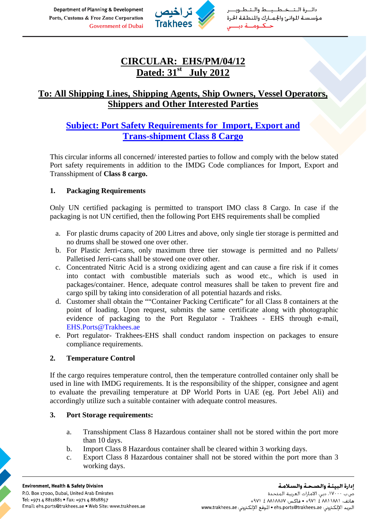Department of Planning & Development Ports, Customs & Free Zone Corporation **Government of Dubai** 



دائيرة التخطيط والتط مؤسستة للوانئ والجمارك والمنطقة الحرة

# **CIRCULAR: EHS/PM/04/12 Dated: 31st July 2012**

## **To: All Shipping Lines, Shipping Agents, Ship Owners, Vessel Operators, Shippers and Other Interested Parties**

## **Subject: Port Safety Requirements for Import, Export and Trans-shipment Class 8 Cargo**

This circular informs all concerned/ interested parties to follow and comply with the below stated Port safety requirements in addition to the IMDG Code compliances for Import, Export and Transshipment of **Class 8 cargo.** 

#### **1. Packaging Requirements**

Only UN certified packaging is permitted to transport IMO class 8 Cargo. In case if the packaging is not UN certified, then the following Port EHS requirements shall be complied

- a. For plastic drums capacity of 200 Litres and above, only single tier storage is permitted and no drums shall be stowed one over other.
- b. For Plastic Jerri-cans, only maximum three tier stowage is permitted and no Pallets/ Palletised Jerri-cans shall be stowed one over other.
- c. Concentrated Nitric Acid is a strong oxidizing agent and can cause a fire risk if it comes into contact with combustible materials such as wood etc., which is used in packages/container. Hence, adequate control measures shall be taken to prevent fire and cargo spill by taking into consideration of all potential hazards and risks.
- d. Customer shall obtain the ""Container Packing Certificate" for all Class 8 containers at the point of loading. Upon request, submits the same certificate along with photographic evidence of packaging to the Port Regulator - Trakhees - EHS through e-mail, [EHS.Ports@Trakhees.ae](mailto:EHS.Ports@Trakhees.ae)
- e. Port regulator- Trakhees-EHS shall conduct random inspection on packages to ensure compliance requirements.

#### **2. Temperature Control**

If the cargo requires temperature control, then the temperature controlled container only shall be used in line with IMDG requirements. It is the responsibility of the shipper, consignee and agent to evaluate the prevailing temperature at DP World Ports in UAE (eg. Port Jebel Ali) and accordingly utilize such a suitable container with adequate control measures.

#### **3. Port Storage requirements:**

- a. Transshipment Class 8 Hazardous container shall not be stored within the port more than 10 days.
- b. Import Class 8 Hazardous container shall be cleared within 3 working days.
- c. Export Class 8 Hazardous container shall not be stored within the port more than 3 working days.